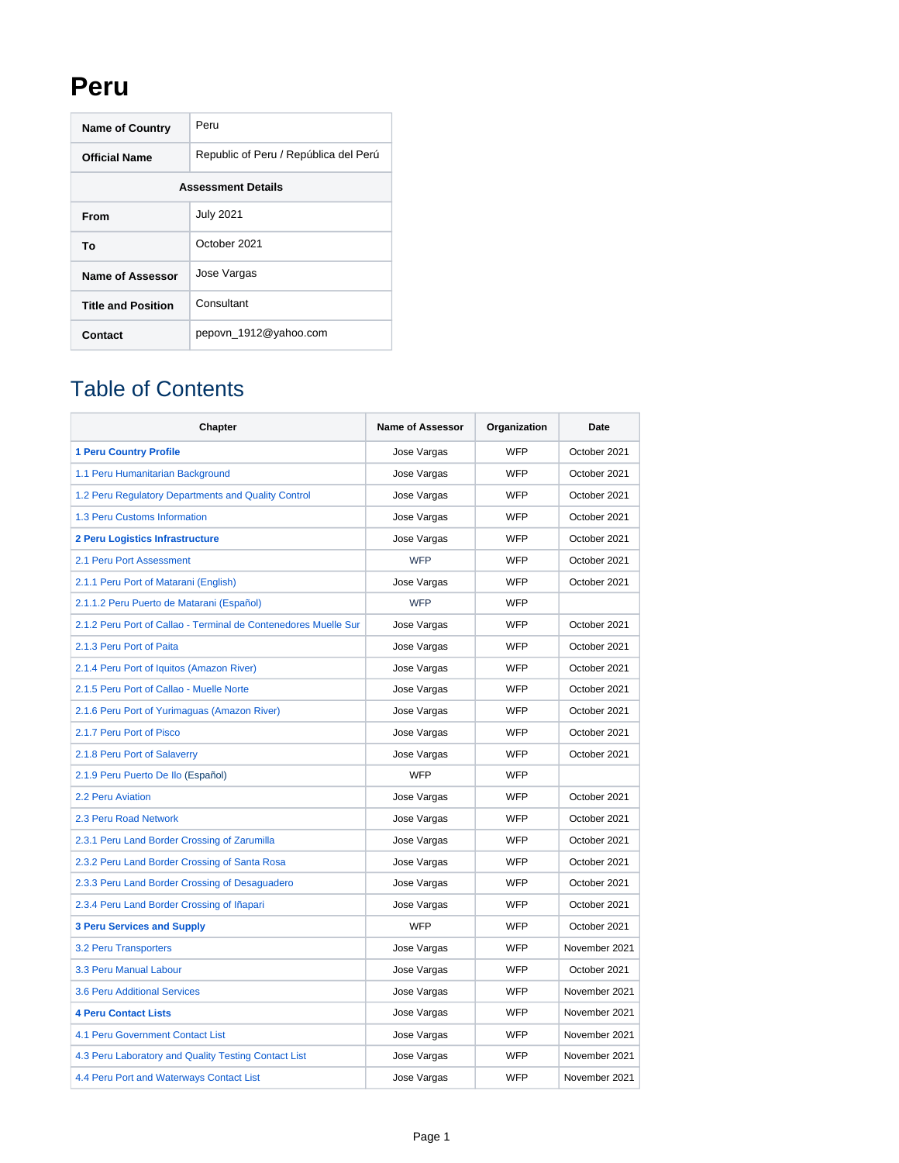## **Peru**

| <b>Name of Country</b>    | Peru                                  |  |  |  |
|---------------------------|---------------------------------------|--|--|--|
| <b>Official Name</b>      | Republic of Peru / República del Perú |  |  |  |
| <b>Assessment Details</b> |                                       |  |  |  |
| From                      | <b>July 2021</b>                      |  |  |  |
| Т٥                        | October 2021                          |  |  |  |
| Name of Assessor          | Jose Vargas                           |  |  |  |
| <b>Title and Position</b> | Consultant                            |  |  |  |
| Contact                   | pepovn_1912@yahoo.com                 |  |  |  |

## Table of Contents

| <b>Chapter</b>                                                  | <b>Name of Assessor</b> | Organization | Date          |
|-----------------------------------------------------------------|-------------------------|--------------|---------------|
| <b>1 Peru Country Profile</b>                                   | Jose Vargas             | <b>WFP</b>   | October 2021  |
| 1.1 Peru Humanitarian Background                                | Jose Vargas             | <b>WFP</b>   | October 2021  |
| 1.2 Peru Regulatory Departments and Quality Control             | Jose Vargas             | <b>WFP</b>   | October 2021  |
| 1.3 Peru Customs Information                                    | Jose Vargas             | <b>WFP</b>   | October 2021  |
| 2 Peru Logistics Infrastructure                                 | Jose Vargas             | WFP          | October 2021  |
| 2.1 Peru Port Assessment                                        | <b>WFP</b>              | <b>WFP</b>   | October 2021  |
| 2.1.1 Peru Port of Matarani (English)                           | Jose Vargas             | WFP          | October 2021  |
| 2.1.1.2 Peru Puerto de Matarani (Español)                       | <b>WFP</b>              | <b>WFP</b>   |               |
| 2.1.2 Peru Port of Callao - Terminal de Contenedores Muelle Sur | Jose Vargas             | <b>WFP</b>   | October 2021  |
| 2.1.3 Peru Port of Paita                                        | Jose Vargas             | <b>WFP</b>   | October 2021  |
| 2.1.4 Peru Port of Iquitos (Amazon River)                       | Jose Vargas             | <b>WFP</b>   | October 2021  |
| 2.1.5 Peru Port of Callao - Muelle Norte                        | Jose Vargas             | <b>WFP</b>   | October 2021  |
| 2.1.6 Peru Port of Yurimaguas (Amazon River)                    | Jose Vargas             | <b>WFP</b>   | October 2021  |
| 2.1.7 Peru Port of Pisco                                        | Jose Vargas             | <b>WFP</b>   | October 2021  |
| 2.1.8 Peru Port of Salaverry                                    | Jose Vargas             | WFP          | October 2021  |
| 2.1.9 Peru Puerto De Ilo (Español)                              | <b>WFP</b>              | <b>WFP</b>   |               |
| 2.2 Peru Aviation                                               | Jose Vargas             | <b>WFP</b>   | October 2021  |
| 2.3 Peru Road Network                                           | Jose Vargas             | WFP          | October 2021  |
| 2.3.1 Peru Land Border Crossing of Zarumilla                    | Jose Vargas             | <b>WFP</b>   | October 2021  |
| 2.3.2 Peru Land Border Crossing of Santa Rosa                   | Jose Vargas             | <b>WFP</b>   | October 2021  |
| 2.3.3 Peru Land Border Crossing of Desaguadero                  | Jose Vargas             | <b>WFP</b>   | October 2021  |
| 2.3.4 Peru Land Border Crossing of Iñapari                      | Jose Vargas             | <b>WFP</b>   | October 2021  |
| <b>3 Peru Services and Supply</b>                               | <b>WFP</b>              | WFP          | October 2021  |
| 3.2 Peru Transporters                                           | Jose Vargas             | WFP          | November 2021 |
| 3.3 Peru Manual Labour                                          | Jose Vargas             | WFP          | October 2021  |
| 3.6 Peru Additional Services                                    | Jose Vargas             | <b>WFP</b>   | November 2021 |
| <b>4 Peru Contact Lists</b>                                     | Jose Vargas             | <b>WFP</b>   | November 2021 |
| <b>4.1 Peru Government Contact List</b>                         | Jose Vargas             | <b>WFP</b>   | November 2021 |
| 4.3 Peru Laboratory and Quality Testing Contact List            | Jose Vargas             | <b>WFP</b>   | November 2021 |
| 4.4 Peru Port and Waterways Contact List                        | Jose Vargas             | <b>WFP</b>   | November 2021 |